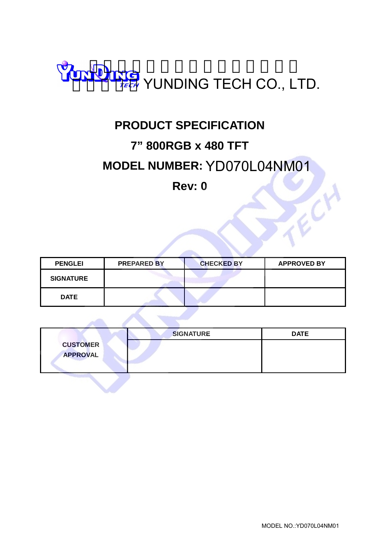

### **PRODUCT SPECIFICATION**

### **7" 800RGB x 480 TFT**

### **MODEL NUMBER:**  YD070L04NM01

### **Rev: 0**

| <b>PENGLEI</b>   | <b>PREPARED BY</b> | <b>CHECKED BY</b> | <b>APPROVED BY</b> |
|------------------|--------------------|-------------------|--------------------|
| <b>SIGNATURE</b> |                    |                   |                    |
| <b>DATE</b>      |                    |                   |                    |

|                 | <b>SIGNATURE</b> | <b>DATE</b> |
|-----------------|------------------|-------------|
| <b>CUSTOMER</b> |                  |             |
| <b>APPROVAL</b> |                  |             |
|                 |                  |             |

TECH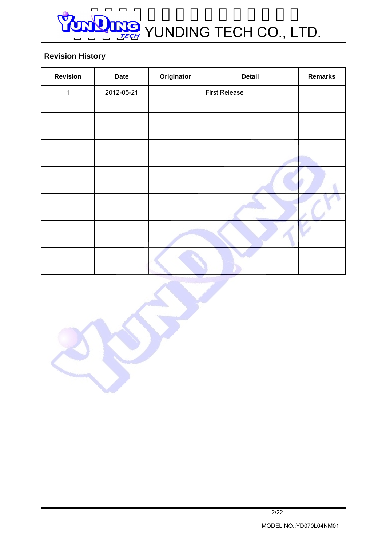### **Revision History**

| <b>Revision</b> | <b>Date</b> | Originator | <b>Detail</b>        | <b>Remarks</b> |
|-----------------|-------------|------------|----------------------|----------------|
| 1               | 2012-05-21  |            | <b>First Release</b> |                |
|                 |             |            |                      |                |
|                 |             |            |                      |                |
|                 |             |            |                      |                |
|                 |             |            |                      |                |
|                 |             |            |                      |                |
|                 |             |            |                      |                |
|                 |             |            |                      |                |
|                 |             |            |                      |                |
|                 |             |            |                      |                |
|                 |             |            |                      |                |
|                 |             |            |                      | v              |
|                 |             |            |                      |                |
|                 |             |            |                      |                |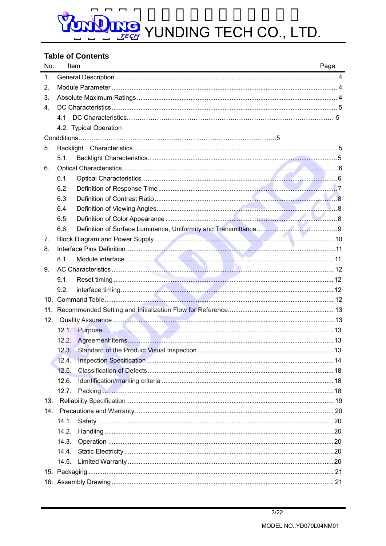# DOM TECH YUNDING TECH CO., LTD.

### **Table of Contents**

| No. | Item                                                                                                                                                                                                                                 | Page |
|-----|--------------------------------------------------------------------------------------------------------------------------------------------------------------------------------------------------------------------------------------|------|
| 1.  |                                                                                                                                                                                                                                      |      |
| 2.  |                                                                                                                                                                                                                                      |      |
| 3.  |                                                                                                                                                                                                                                      |      |
| 4.  |                                                                                                                                                                                                                                      |      |
|     | 4.1                                                                                                                                                                                                                                  |      |
|     | 4.2. Typical Operation                                                                                                                                                                                                               |      |
|     |                                                                                                                                                                                                                                      |      |
| 5.  |                                                                                                                                                                                                                                      |      |
|     | 5.1.                                                                                                                                                                                                                                 |      |
| 6.  |                                                                                                                                                                                                                                      |      |
|     | 6.1.                                                                                                                                                                                                                                 |      |
|     | 6.2.                                                                                                                                                                                                                                 |      |
|     | 6.3.                                                                                                                                                                                                                                 |      |
|     | 6.4.                                                                                                                                                                                                                                 |      |
|     | 6.5.                                                                                                                                                                                                                                 |      |
|     | 6.6.                                                                                                                                                                                                                                 |      |
| 7.  |                                                                                                                                                                                                                                      |      |
| 8.  |                                                                                                                                                                                                                                      |      |
|     | 8.1.                                                                                                                                                                                                                                 |      |
| 9.  |                                                                                                                                                                                                                                      |      |
|     | 9.1.                                                                                                                                                                                                                                 |      |
|     | 9.2.                                                                                                                                                                                                                                 |      |
|     |                                                                                                                                                                                                                                      |      |
| 11. |                                                                                                                                                                                                                                      |      |
| 12. | Quality Assurance <b>Manual According to the Contract of the Contract of the Contract of the Contract of the Contract of the Contract of the Contract of the Contract of the Contract of the Contract of the Contract of the Con</b> |      |
|     |                                                                                                                                                                                                                                      |      |
|     | 12.2.                                                                                                                                                                                                                                |      |
|     |                                                                                                                                                                                                                                      |      |
|     | 12.4.                                                                                                                                                                                                                                |      |
|     | 12.5.                                                                                                                                                                                                                                |      |
|     | 12.6.                                                                                                                                                                                                                                |      |
|     |                                                                                                                                                                                                                                      |      |
| 13. |                                                                                                                                                                                                                                      |      |
|     |                                                                                                                                                                                                                                      |      |
|     | 14.1.                                                                                                                                                                                                                                |      |
|     | 14.2.                                                                                                                                                                                                                                |      |
|     | 14.3.                                                                                                                                                                                                                                |      |
|     | 14.4.                                                                                                                                                                                                                                |      |
|     | 14.5.                                                                                                                                                                                                                                |      |
|     |                                                                                                                                                                                                                                      |      |
|     |                                                                                                                                                                                                                                      |      |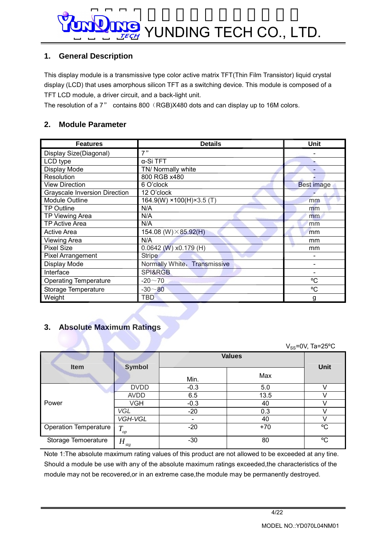### **1. General Description**

This display module is a transmissive type color active matrix TFT(Thin Film Transistor) liquid crystal display (LCD) that uses amorphous silicon TFT as a switching device. This module is composed of a TFT LCD module, a driver circuit, and a back-light unit.

The resolution of a 7" contains 800 (RGB)X480 dots and can display up to 16M colors.

### **2. Module Parameter**

| <b>Features</b>                      | <b>Details</b>                | <b>Unit</b>       |
|--------------------------------------|-------------------------------|-------------------|
| Display Size(Diagonal)               | 7"                            |                   |
| LCD type                             | α-Si TFT                      |                   |
| Display Mode                         | TN/ Normally white            |                   |
| Resolution                           | 800 RGB x480                  |                   |
| <b>View Direction</b>                | 6 O'clock                     | <b>Best image</b> |
| <b>Grayscale Inversion Direction</b> | 12 O'clock                    |                   |
| <b>Module Outline</b>                | $164.9(W)$ × 100(H) × 3.5 (T) | mm                |
| <b>TP Outline</b>                    | N/A                           | mm                |
| TP Viewing Area                      | N/A                           | mm                |
| TP Active Area                       | N/A                           | mm                |
| <b>Active Area</b>                   | 154.08 (W) $\times$ 85.92(H)  | mm                |
| <b>Viewing Area</b>                  | N/A                           | mm                |
| <b>Pixel Size</b>                    | $0.0642$ (W) x0.179 (H)       | mm                |
| <b>Pixel Arrangement</b>             | <b>Stripe</b>                 |                   |
| Display Mode                         | Normally White, Transmissive  |                   |
| Interface                            | SPI&RGB                       |                   |
| <b>Operating Temperature</b>         | $-20 - 70$                    | °C                |
| Storage Temperature                  | $-30 - 80$                    | °C                |
| Weight                               | <b>TBD</b>                    | g                 |

### **3. Absolute Maximum Ratings**

|                              |               |        |               | $V_{SS}$ =0V, Ta=25°C |
|------------------------------|---------------|--------|---------------|-----------------------|
| Item                         | <b>Symbol</b> |        | <b>Values</b> | <b>Unit</b>           |
|                              |               | Min.   | Max           |                       |
|                              | <b>DVDD</b>   | $-0.3$ | 5.0           |                       |
|                              | <b>AVDD</b>   | 6.5    | 13.5          |                       |
| Power                        | VGH           | $-0.3$ | 40            | ١,                    |
|                              | <b>VGL</b>    | $-20$  | 0.3           |                       |
|                              | VGH-VGL       |        | 40            |                       |
| <b>Operation Temperature</b> | $T_{op}$      | $-20$  | $+70$         | $^{\circ}$ C          |
| Storage Temoerature          | $H_{\rm stg}$ | $-30$  | 80            | °C                    |

Note 1:The absolute maximum rating values of this product are not allowed to be exceeded at any tine. Should a module be use with any of the absolute maximum ratings exceeded,the characteristics of the module may not be recovered,or in an extreme case,the module may be permanently destroyed.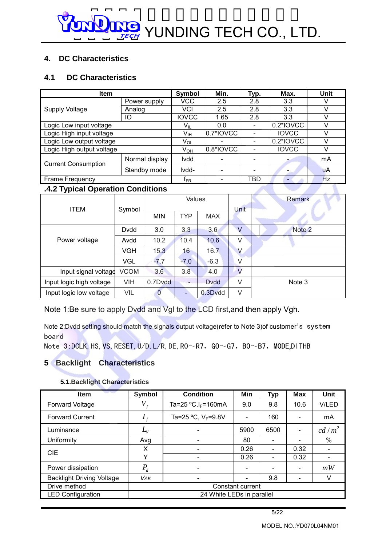### **4. DC Characteristics**

### **4.1 DC Characteristics**

| <b>Item</b>                | Symbol         | Min.                       | Typ.                         | Max.                     | Unit         |    |
|----------------------------|----------------|----------------------------|------------------------------|--------------------------|--------------|----|
|                            | Power supply   | VCC                        | 2.5                          | 2.8                      | 3.3          | v  |
| <b>Supply Voltage</b>      | Analog         | <b>VCI</b>                 | 2.5                          | 2.8                      | 3.3          | V  |
|                            | IО             | <b>IOVCC</b>               | 1.65                         | 2.8                      | 3.3          |    |
| Logic Low input voltage    |                | V <sub>IL</sub>            | 0.0                          | $\overline{\phantom{a}}$ | 0.2*IOVCC    |    |
| Logic High input voltage   | $V_{IH}$       | 0.7*IOVCC                  | $\qquad \qquad \blacksquare$ | <b>IOVCC</b>             |              |    |
| Logic Low output voltage   |                | $\mathsf{V}_{\mathsf{OL}}$ |                              | ۳                        | 0.2*IOVCC    |    |
| Logic High output voltage  |                | $V_{OH}$                   | 0.8*IOVCC                    |                          | <b>IOVCC</b> | V  |
| <b>Current Consumption</b> | Normal display | <b>Ivdd</b>                |                              |                          |              | mA |
|                            | Standby mode   | Ivdd-                      |                              |                          |              | uA |
| Frame Frequency            |                | f <sub>FR</sub>            | -                            | TBD                      |              | Hz |

### **.4.2 Typical Operation Conditions**

| <b>ITEM</b>              | Symbol      | Values       |            |             | Unit         | Remark |
|--------------------------|-------------|--------------|------------|-------------|--------------|--------|
|                          |             | <b>MIN</b>   | <b>TYP</b> | <b>MAX</b>  |              |        |
|                          | Dvdd        | 3.0          | 3.3        | 3.6         | $\mathsf{V}$ | Note 2 |
| Power voltage            | Avdd        | 10.2         | 10.4       | 10.6        | V            |        |
|                          | VGH         | 15.3         | 16         | 16.7        | V            |        |
|                          | <b>VGL</b>  | $-7.7$       | $-7.0$     | $-6.3$      | V            |        |
| Input signal voltage     | <b>VCOM</b> | 3.6          | 3.8        | 4.0         | $\vee$       |        |
| Input logic high voltage | <b>VIH</b>  | 0.7Dvdd      | -          | <b>Dvdd</b> | V            | Note 3 |
| Input logic low voltage  | VIL         | $\mathbf{0}$ |            | 0.3Dvdd     | V            |        |

Note 1:Be sure to apply Dvdd and Vgl to the LCD first,and then apply Vgh.

Note 2:Dvdd setting should match the signals output voltage(refer to Note 3)of customer's system board

Note 3: DCLK, HS, VS, RESET, U/D, L/R, DE, R0 $\sim$ R7, G0 $\sim$ G7, B0 $\sim$ B7, MODE,DITHB

### **5 Backlight Characteristics**

#### **5.1.Backlight Characteristics**

| <b>Item</b>                      | Symbol                       | <b>Condition</b>          | Min                      | <b>Typ</b> | <b>Max</b>                   | Unit     |
|----------------------------------|------------------------------|---------------------------|--------------------------|------------|------------------------------|----------|
| <b>Forward Voltage</b>           | $V_{\rm f}$                  | Ta=25 $°C, l_F = 160mA$   | 9.0                      | 9.8        | 10.6                         | V/LED    |
| <b>Forward Current</b>           |                              | Ta=25 °C, $V_F$ =9.8V     | $\overline{\phantom{a}}$ | 160        |                              | mA       |
| Luminance                        | $L_{\!\scriptscriptstyle V}$ |                           | 5900                     | 6500       |                              | $cd/m^2$ |
| Uniformity                       | Avg                          |                           | 80                       |            |                              | $\%$     |
| <b>CIE</b>                       | X                            |                           | 0.26                     |            | 0.32                         |          |
|                                  | Υ                            |                           | 0.26                     |            | 0.32                         |          |
| Power dissipation                | $P_d$                        |                           | $\overline{\phantom{a}}$ |            | $\blacksquare$               | mW       |
| <b>Backlight Driving Voltage</b> | <b>VAK</b>                   |                           |                          | 9.8        | $\qquad \qquad \blacksquare$ | v        |
| Drive method                     | Constant current             |                           |                          |            |                              |          |
| <b>LED Configuration</b>         |                              | 24 White LEDs in parallel |                          |            |                              |          |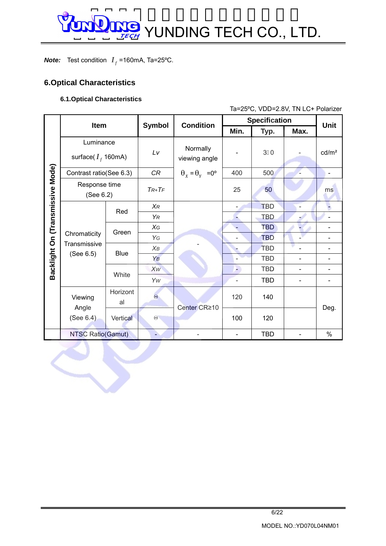*Note:* Test condition  $I_f$  =160mA, Ta=25°C.

### **6.Optical Characteristics**

### **6.1.Optical Characteristics**

Ta=25ºC, VDD=2.8V, TN LC+ Polarizer

|                                  | Item                               |                | <b>Symbol</b>         | <b>Condition</b>                  |                          |                | <b>Specification</b> |                   |
|----------------------------------|------------------------------------|----------------|-----------------------|-----------------------------------|--------------------------|----------------|----------------------|-------------------|
|                                  |                                    |                |                       |                                   | Min.                     | Typ.           | Max.                 | <b>Unit</b>       |
|                                  | Luminance<br>surface( $I_f$ 160mA) |                | Lv                    | Normally<br>viewing angle         |                          | 3 <sup>0</sup> |                      | cd/m <sup>2</sup> |
|                                  | Contrast ratio(See 6.3)            |                | CR                    | $\theta_x = \theta_y = 0^{\circ}$ | 400                      | 500            | ц                    | L,                |
|                                  | Response time<br>(See 6.2)         |                | $TR+TF$               |                                   | 25                       | 50             |                      | ms                |
|                                  |                                    | Red            | $\chi_R$              |                                   | $\overline{\phantom{0}}$ | <b>TBD</b>     | ÷,                   |                   |
|                                  |                                    |                | YR                    |                                   |                          | <b>TBD</b>     | ۰,                   |                   |
|                                  | Chromaticity                       | Green          | XG                    |                                   |                          | <b>TBD</b>     |                      | $\overline{a}$    |
| Backlight On (Transmissive Mode) | Transmissive                       |                | YG                    |                                   |                          | <b>TBD</b>     |                      |                   |
|                                  | (See 6.5)                          | <b>Blue</b>    | $X_B$                 |                                   |                          | <b>TBD</b>     | $\overline{a}$       | L,                |
|                                  |                                    |                | YB                    |                                   |                          | <b>TBD</b>     |                      |                   |
|                                  |                                    | White          | XW                    |                                   | P)                       | <b>TBD</b>     | $\overline{a}$       |                   |
|                                  |                                    |                | Yw                    |                                   | $\overline{\phantom{0}}$ | <b>TBD</b>     | -                    | -                 |
|                                  | Viewing<br>Angle                   | Horizont<br>al | $\Theta$              | Center CR≥10                      | 120                      | 140            |                      | Deg.              |
|                                  | (See 6.4)                          | Vertical       | $\boldsymbol{\Theta}$ |                                   | 100                      | 120            |                      |                   |
|                                  | <b>NTSC Ratio(Gamut)</b>           |                | b.                    |                                   | $\blacksquare$           | <b>TBD</b>     | ÷,                   | $\%$              |
|                                  |                                    |                |                       |                                   |                          |                |                      |                   |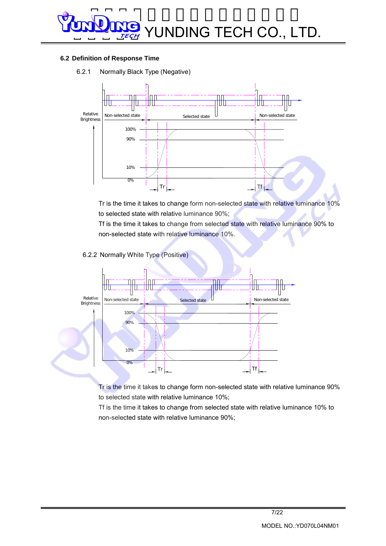#### **6.2 Definition of Response Time**

6.2.1 Normally Black Type (Negative)



Tr is the time it takes to change form non-selected state with relative luminance 10% to selected state with relative luminance 90%;

Tf is the time it takes to change from selected state with relative luminance 90% to non-selected state with relative luminance 10%.

6.2.2 Normally White Type (Positive)



Tr is the time it takes to change form non-selected state with relative luminance 90% to selected state with relative luminance 10%;

Tf is the time it takes to change from selected state with relative luminance 10% to non-selected state with relative luminance 90%;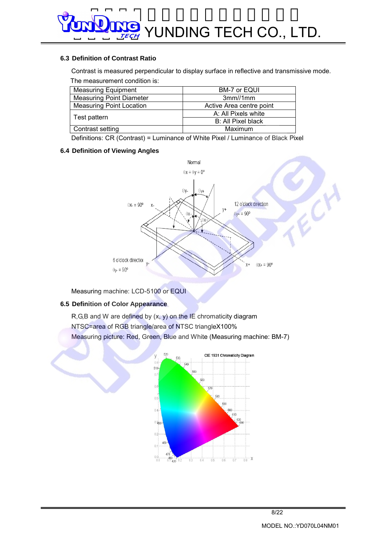#### **6.3 Definition of Contrast Ratio**

Contrast is measured perpendicular to display surface in reflective and transmissive mode. The measurement condition is:

| <b>Measuring Equipment</b>      | BM-7 or EQUI              |
|---------------------------------|---------------------------|
| <b>Measuring Point Diameter</b> | 3mm/1mm                   |
| <b>Measuring Point Location</b> | Active Area centre point  |
|                                 | A: All Pixels white       |
| Test pattern                    | <b>B: All Pixel black</b> |
| Contrast setting                | Maximum                   |

Definitions: CR (Contrast) = Luminance of White Pixel / Luminance of Black Pixel

#### **6.4 Definition of Viewing Angles**



Measuring machine: LCD-5100 or EQUI

#### **6.5 Definition of Color Appearance**

 $R, G, B$  and W are defined by  $(x, y)$  on the IE chromaticity diagram NTSC=area of RGB triangle/area of NTSC triangleX100% Measuring picture: Red, Green, Blue and White (Measuring machine: BM-7)



ECY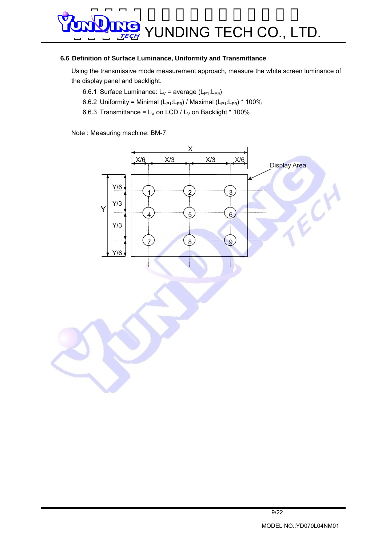#### **6.6 Definition of Surface Luminance, Uniformity and Transmittance**

Using the transmissive mode measurement approach, measure the white screen luminance of the display panel and backlight.

- 6.6.1 Surface Luminance:  $L_V$  = average ( $L_{P1}:L_{P9}$ )
- 6.6.2 Uniformity = Minimal  $(L_{P1}:L_{P9})$  / Maximal  $(L_{P1}:L_{P9})$  \* 100%
- 6.6.3 Transmittance =  $L_V$  on LCD /  $L_V$  on Backlight \* 100%

Note : Measuring machine: BM-7

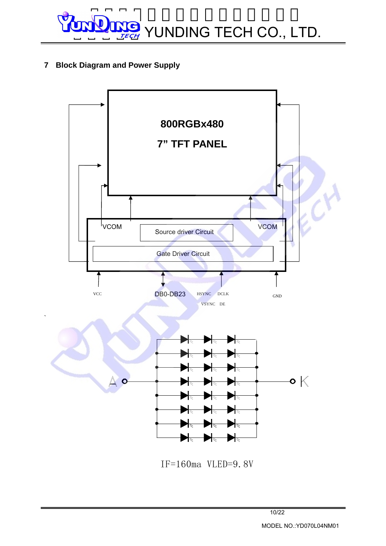**7 Block Diagram and Power Supply** 

`

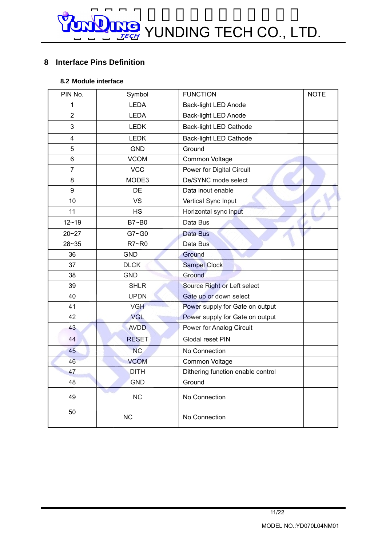### **8 Interface Pins Definition**

### **8.2 Module interface**

| PIN No.        | Symbol         | <b>FUNCTION</b>                   | <b>NOTE</b> |
|----------------|----------------|-----------------------------------|-------------|
| 1              | <b>LEDA</b>    | <b>Back-light LED Anode</b>       |             |
| $\overline{2}$ | <b>LEDA</b>    | <b>Back-light LED Anode</b>       |             |
| 3              | <b>LEDK</b>    | <b>Back-light LED Cathode</b>     |             |
| 4              | <b>LEDK</b>    | Back-light LED Cathode            |             |
| 5              | <b>GND</b>     | Ground                            |             |
| 6              | <b>VCOM</b>    | Common Voltage                    |             |
| $\overline{7}$ | <b>VCC</b>     | Power for Digital Circuit         |             |
| 8              | MODE3          | De/SYNC mode select               |             |
| 9              | DE             | Data inout enable                 |             |
| 10             | <b>VS</b>      | Vertical Sync Input               |             |
| 11             | <b>HS</b>      | Horizontal sync input             |             |
| $12 - 19$      | B7~B0          | Data Bus                          |             |
| $20 - 27$      | $G7 - G0$      | Data Bus                          |             |
| $28 - 35$      | R7~R0          | Data Bus                          |             |
| 36             | <b>GND</b>     | Ground                            |             |
| 37             | <b>DLCK</b>    | Sampel Clock                      |             |
| 38             | <b>GND</b>     | Ground                            |             |
| 39             | <b>SHLR</b>    | Source Right or Left select       |             |
| 40             | <b>UPDN</b>    | Gate up or down select            |             |
| 41             | <b>VGH</b>     | Power supply for Gate on output   |             |
| 42             | VGL            | Power supply for Gate on output   |             |
| 43             | <b>AVDD</b>    | Power for Analog Circuit          |             |
| 44             | <b>RESET</b>   | Glodal reset PIN                  |             |
| 45             | N <sub>C</sub> | No Connection                     |             |
| 46             | <b>VCOM</b>    | Common Voltage                    |             |
| 47             | <b>DITH</b>    | Dithering function enable control |             |
| 48             | <b>GND</b>     | Ground                            |             |
| 49             | NC             | No Connection                     |             |
| 50             | <b>NC</b>      | No Connection                     |             |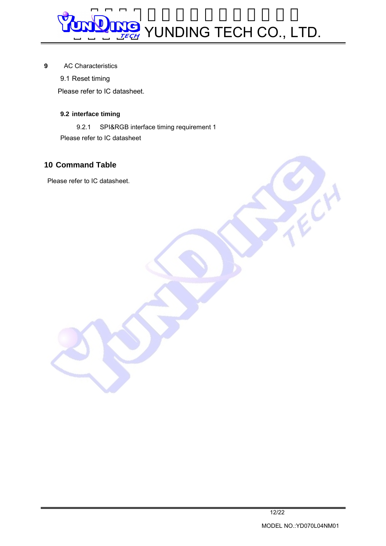#### **9** AC Characteristics

9.1 Reset timing

Please refer to IC datasheet.

### **9.2 interface timing**

9.2.1 SPI&RGB interface timing requirement 1 Please refer to IC datasheet

### **10 Command Table**

Please refer to IC datasheet.

**ANCH**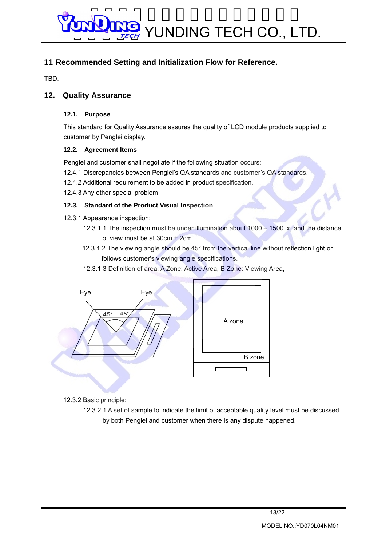### **11 Recommended Setting and Initialization Flow for Reference.**

TBD.

### **12. Quality Assurance**

### **12.1. Purpose**

This standard for Quality Assurance assures the quality of LCD module products supplied to customer by Penglei display.

### **12.2. Agreement Items**

Penglei and customer shall negotiate if the following situation occurs:

- 12.4.1 Discrepancies between Penglei's QA standards and customer's QA standards.
- 12.4.2 Additional requirement to be added in product specification.
- 12.4.3 Any other special problem.

### **12.3. Standard of the Product Visual Inspection**

- 12.3.1 Appearance inspection:
	- 12.3.1.1 The inspection must be under illumination about 1000 1500 lx, and the distance of view must be at 30cm ± 2cm.
	- 12.3.1.2 The viewing angle should be 45° from the vertical line without reflection light or follows customer's viewing angle specifications.
	- 12.3.1.3 Definition of area: A Zone: Active Area, B Zone: Viewing Area,



12.3.2 Basic principle:

 12.3.2.1 A set of sample to indicate the limit of acceptable quality level must be discussed by both Penglei and customer when there is any dispute happened.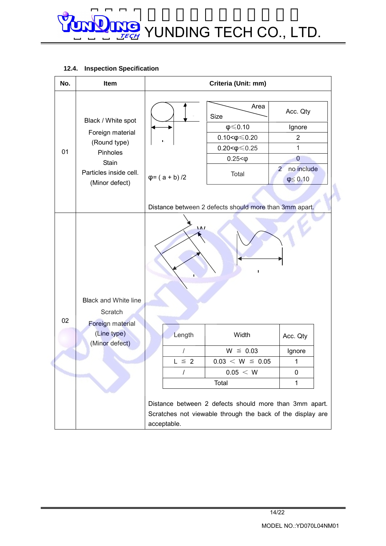#### **12.4. Inspection Specification**

| No. | Item                                                                                                                           | Criteria (Unit: mm)                                    |                                                                                                                      |                                                                                                              |
|-----|--------------------------------------------------------------------------------------------------------------------------------|--------------------------------------------------------|----------------------------------------------------------------------------------------------------------------------|--------------------------------------------------------------------------------------------------------------|
| 01  | Black / White spot<br>Foreign material<br>(Round type)<br>Pinholes<br><b>Stain</b><br>Particles inside cell.<br>(Minor defect) | $\varphi$ = (a + b) /2                                 | Area<br>Size<br>$\phi \leqslant 0.10$<br>$0.10 < \phi \leq 0.20$<br>$0.20 < \phi \le 0.25$<br>$0.25 < \phi$<br>Total | Acc. Qty<br>Ignore<br>$\overline{2}$<br>1<br>$\mathbf 0$<br>no include<br>$\overline{2}$<br>$\phi \leq 0.10$ |
|     |                                                                                                                                | Distance between 2 defects should more than 3mm apart. |                                                                                                                      |                                                                                                              |
| 02  | <b>Black and White line</b><br>Scratch<br>Foreign material                                                                     | $\overline{M}$<br>ı                                    |                                                                                                                      |                                                                                                              |
|     | (Line type)                                                                                                                    | Length                                                 | Width                                                                                                                | Acc. Qty                                                                                                     |
|     | (Minor defect)                                                                                                                 | $\prime$                                               | $W \leq 0.03$                                                                                                        | Ignore                                                                                                       |
|     |                                                                                                                                | $L \cong 2$                                            | $0.03 < W \le 0.05$                                                                                                  | 1                                                                                                            |
|     |                                                                                                                                | I                                                      | 0.05 < W                                                                                                             | 0                                                                                                            |
|     |                                                                                                                                | Total<br>1                                             |                                                                                                                      |                                                                                                              |
|     |                                                                                                                                | acceptable.                                            | Distance between 2 defects should more than 3mm apart.<br>Scratches not viewable through the back of the display are |                                                                                                              |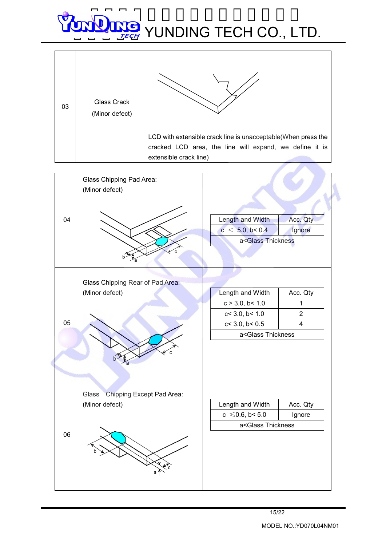| 03 | <b>Glass Crack</b><br>(Minor defect) |                                                                                                                                                     |
|----|--------------------------------------|-----------------------------------------------------------------------------------------------------------------------------------------------------|
|    |                                      | LCD with extensible crack line is unacceptable (When press the<br>cracked LCD area, the line will expand, we define it is<br>extensible crack line) |
|    |                                      |                                                                                                                                                     |

r

|    | Glass Chipping Pad Area:<br>(Minor defect) |                                                |                         |  |
|----|--------------------------------------------|------------------------------------------------|-------------------------|--|
| 04 |                                            | Length and Width                               | Acc. Qty                |  |
|    |                                            | c < 5.0, b < 0.4                               | Ignore                  |  |
|    |                                            | a <glass td="" thickness<=""><td></td></glass> |                         |  |
|    |                                            |                                                |                         |  |
|    |                                            |                                                |                         |  |
|    | Glass Chipping Rear of Pad Area:           |                                                |                         |  |
|    | (Minor defect)                             | Length and Width                               | Acc. Qty                |  |
|    |                                            | c > 3.0, b < 1.0                               | $\mathbf{1}$            |  |
|    |                                            | c < 3.0, b < 1.0                               | $\overline{2}$          |  |
| 05 |                                            | $c < 3.0$ , $b < 0.5$                          | $\overline{\mathbf{4}}$ |  |
|    |                                            | a <glass td="" thickness<=""><td></td></glass> |                         |  |
|    | Chipping Except Pad Area:<br>Glass         |                                                |                         |  |
|    | (Minor defect)                             | Length and Width                               | Acc. Qty                |  |
|    |                                            | $c \le 0.6$ , b< 5.0                           | Ignore                  |  |
|    |                                            | a <glass td="" thickness<=""><td></td></glass> |                         |  |
| 06 |                                            |                                                |                         |  |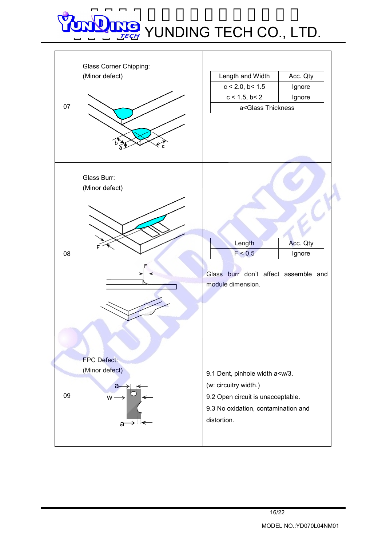| 07 | Glass Corner Chipping:<br>(Minor defect)               | Length and Width<br>$c < 2.0$ , $b < 1.5$<br>$c < 1.5$ , $b < 2$<br>a <glass th="" thickness<=""><th>Acc. Qty<br/>Ignore<br/>Ignore</th></glass>              | Acc. Qty<br>Ignore<br>Ignore |
|----|--------------------------------------------------------|---------------------------------------------------------------------------------------------------------------------------------------------------------------|------------------------------|
| 08 | Glass Burr:<br>(Minor defect)                          | Length<br>F < 0.5<br>Glass burr don't affect assemble and<br>module dimension.                                                                                | Acc. Qty<br>Ignore           |
| 09 | FPC Defect:<br>(Minor defect)<br>a-<br>$w \rightarrow$ | 9.1 Dent, pinhole width a <w 3.<br="">(w: circuitry width.)<br/>9.2 Open circuit is unacceptable.<br/>9.3 No oxidation, contamination and<br/>distortion.</w> |                              |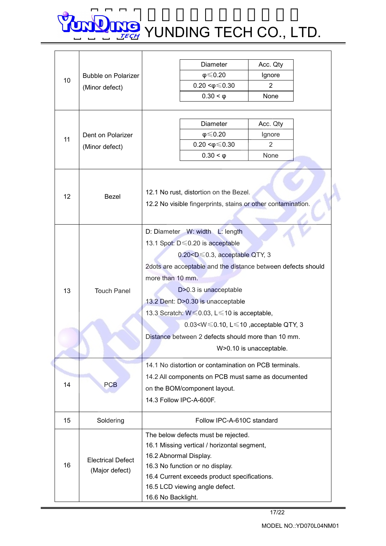| $\phi \leq 0.20$<br>Ignore<br>Bubble on Polarizer<br>10<br>$0.20 < \phi \leq 0.30$<br>$\overline{2}$<br>(Minor defect)<br><b>None</b><br>$0.30 < \varphi$<br><b>Diameter</b><br>Acc. Qty<br>$\phi \leqslant 0.20$<br>Ignore<br>Dent on Polarizer<br>11<br>$0.20 < \phi \leq 0.30$<br>2<br>(Minor defect)<br>$0.30 < \varphi$<br><b>None</b><br>12.1 No rust, distortion on the Bezel.<br>$12 \overline{ }$<br>Bezel<br>12.2 No visible fingerprints, stains or other contamination.<br>D: Diameter W: width L: length<br>13.1 Spot: D ≤ 0.20 is acceptable<br>$0.20 < D \le 0.3$ , acceptable QTY, 3<br>2dots are acceptable and the distance between defects should<br>more than 10 mm.<br>D>0.3 is unacceptable<br>13<br><b>Touch Panel</b><br>13.2 Dent: D>0.30 is unacceptable<br>13.3 Scratch: $W \le 0.03$ , $L \le 10$ is acceptable,<br>0.03 <w <math="">\leq 0.10, L<math>\leq</math> 10, acceptable QTY, 3<br/>Distance between 2 defects should more than 10 mm.<br/>W&gt;0.10 is unacceptable.<br/>14.1 No distortion or contamination on PCB terminals.<br/>14.2 All components on PCB must same as documented<br/>14<br/><b>PCB</b><br/>on the BOM/component layout.<br/>14.3 Follow IPC-A-600F.<br/>Follow IPC-A-610C standard<br/>15<br/>Soldering<br/>The below defects must be rejected.<br/>16.1 Missing vertical / horizontal segment,<br/>16.2 Abnormal Display.<br/><b>Electrical Defect</b><br/>16<br/>16.3 No function or no display.<br/>(Major defect)<br/>16.4 Current exceeds product specifications.<br/>16.5 LCD viewing angle defect.<br/>16.6 No Backlight.</w> |  |  |                      |  |  |
|-------------------------------------------------------------------------------------------------------------------------------------------------------------------------------------------------------------------------------------------------------------------------------------------------------------------------------------------------------------------------------------------------------------------------------------------------------------------------------------------------------------------------------------------------------------------------------------------------------------------------------------------------------------------------------------------------------------------------------------------------------------------------------------------------------------------------------------------------------------------------------------------------------------------------------------------------------------------------------------------------------------------------------------------------------------------------------------------------------------------------------------------------------------------------------------------------------------------------------------------------------------------------------------------------------------------------------------------------------------------------------------------------------------------------------------------------------------------------------------------------------------------------------------------------------------------------------------------------|--|--|----------------------|--|--|
|                                                                                                                                                                                                                                                                                                                                                                                                                                                                                                                                                                                                                                                                                                                                                                                                                                                                                                                                                                                                                                                                                                                                                                                                                                                                                                                                                                                                                                                                                                                                                                                                 |  |  | Diameter<br>Acc. Qty |  |  |
|                                                                                                                                                                                                                                                                                                                                                                                                                                                                                                                                                                                                                                                                                                                                                                                                                                                                                                                                                                                                                                                                                                                                                                                                                                                                                                                                                                                                                                                                                                                                                                                                 |  |  |                      |  |  |
|                                                                                                                                                                                                                                                                                                                                                                                                                                                                                                                                                                                                                                                                                                                                                                                                                                                                                                                                                                                                                                                                                                                                                                                                                                                                                                                                                                                                                                                                                                                                                                                                 |  |  |                      |  |  |
|                                                                                                                                                                                                                                                                                                                                                                                                                                                                                                                                                                                                                                                                                                                                                                                                                                                                                                                                                                                                                                                                                                                                                                                                                                                                                                                                                                                                                                                                                                                                                                                                 |  |  |                      |  |  |
|                                                                                                                                                                                                                                                                                                                                                                                                                                                                                                                                                                                                                                                                                                                                                                                                                                                                                                                                                                                                                                                                                                                                                                                                                                                                                                                                                                                                                                                                                                                                                                                                 |  |  |                      |  |  |
|                                                                                                                                                                                                                                                                                                                                                                                                                                                                                                                                                                                                                                                                                                                                                                                                                                                                                                                                                                                                                                                                                                                                                                                                                                                                                                                                                                                                                                                                                                                                                                                                 |  |  |                      |  |  |
|                                                                                                                                                                                                                                                                                                                                                                                                                                                                                                                                                                                                                                                                                                                                                                                                                                                                                                                                                                                                                                                                                                                                                                                                                                                                                                                                                                                                                                                                                                                                                                                                 |  |  |                      |  |  |
|                                                                                                                                                                                                                                                                                                                                                                                                                                                                                                                                                                                                                                                                                                                                                                                                                                                                                                                                                                                                                                                                                                                                                                                                                                                                                                                                                                                                                                                                                                                                                                                                 |  |  |                      |  |  |
|                                                                                                                                                                                                                                                                                                                                                                                                                                                                                                                                                                                                                                                                                                                                                                                                                                                                                                                                                                                                                                                                                                                                                                                                                                                                                                                                                                                                                                                                                                                                                                                                 |  |  |                      |  |  |
|                                                                                                                                                                                                                                                                                                                                                                                                                                                                                                                                                                                                                                                                                                                                                                                                                                                                                                                                                                                                                                                                                                                                                                                                                                                                                                                                                                                                                                                                                                                                                                                                 |  |  |                      |  |  |
|                                                                                                                                                                                                                                                                                                                                                                                                                                                                                                                                                                                                                                                                                                                                                                                                                                                                                                                                                                                                                                                                                                                                                                                                                                                                                                                                                                                                                                                                                                                                                                                                 |  |  |                      |  |  |
|                                                                                                                                                                                                                                                                                                                                                                                                                                                                                                                                                                                                                                                                                                                                                                                                                                                                                                                                                                                                                                                                                                                                                                                                                                                                                                                                                                                                                                                                                                                                                                                                 |  |  |                      |  |  |
|                                                                                                                                                                                                                                                                                                                                                                                                                                                                                                                                                                                                                                                                                                                                                                                                                                                                                                                                                                                                                                                                                                                                                                                                                                                                                                                                                                                                                                                                                                                                                                                                 |  |  |                      |  |  |
|                                                                                                                                                                                                                                                                                                                                                                                                                                                                                                                                                                                                                                                                                                                                                                                                                                                                                                                                                                                                                                                                                                                                                                                                                                                                                                                                                                                                                                                                                                                                                                                                 |  |  |                      |  |  |
|                                                                                                                                                                                                                                                                                                                                                                                                                                                                                                                                                                                                                                                                                                                                                                                                                                                                                                                                                                                                                                                                                                                                                                                                                                                                                                                                                                                                                                                                                                                                                                                                 |  |  |                      |  |  |
|                                                                                                                                                                                                                                                                                                                                                                                                                                                                                                                                                                                                                                                                                                                                                                                                                                                                                                                                                                                                                                                                                                                                                                                                                                                                                                                                                                                                                                                                                                                                                                                                 |  |  |                      |  |  |
|                                                                                                                                                                                                                                                                                                                                                                                                                                                                                                                                                                                                                                                                                                                                                                                                                                                                                                                                                                                                                                                                                                                                                                                                                                                                                                                                                                                                                                                                                                                                                                                                 |  |  |                      |  |  |
|                                                                                                                                                                                                                                                                                                                                                                                                                                                                                                                                                                                                                                                                                                                                                                                                                                                                                                                                                                                                                                                                                                                                                                                                                                                                                                                                                                                                                                                                                                                                                                                                 |  |  |                      |  |  |
|                                                                                                                                                                                                                                                                                                                                                                                                                                                                                                                                                                                                                                                                                                                                                                                                                                                                                                                                                                                                                                                                                                                                                                                                                                                                                                                                                                                                                                                                                                                                                                                                 |  |  |                      |  |  |
|                                                                                                                                                                                                                                                                                                                                                                                                                                                                                                                                                                                                                                                                                                                                                                                                                                                                                                                                                                                                                                                                                                                                                                                                                                                                                                                                                                                                                                                                                                                                                                                                 |  |  |                      |  |  |
|                                                                                                                                                                                                                                                                                                                                                                                                                                                                                                                                                                                                                                                                                                                                                                                                                                                                                                                                                                                                                                                                                                                                                                                                                                                                                                                                                                                                                                                                                                                                                                                                 |  |  |                      |  |  |
|                                                                                                                                                                                                                                                                                                                                                                                                                                                                                                                                                                                                                                                                                                                                                                                                                                                                                                                                                                                                                                                                                                                                                                                                                                                                                                                                                                                                                                                                                                                                                                                                 |  |  |                      |  |  |
|                                                                                                                                                                                                                                                                                                                                                                                                                                                                                                                                                                                                                                                                                                                                                                                                                                                                                                                                                                                                                                                                                                                                                                                                                                                                                                                                                                                                                                                                                                                                                                                                 |  |  |                      |  |  |
|                                                                                                                                                                                                                                                                                                                                                                                                                                                                                                                                                                                                                                                                                                                                                                                                                                                                                                                                                                                                                                                                                                                                                                                                                                                                                                                                                                                                                                                                                                                                                                                                 |  |  |                      |  |  |
|                                                                                                                                                                                                                                                                                                                                                                                                                                                                                                                                                                                                                                                                                                                                                                                                                                                                                                                                                                                                                                                                                                                                                                                                                                                                                                                                                                                                                                                                                                                                                                                                 |  |  |                      |  |  |
|                                                                                                                                                                                                                                                                                                                                                                                                                                                                                                                                                                                                                                                                                                                                                                                                                                                                                                                                                                                                                                                                                                                                                                                                                                                                                                                                                                                                                                                                                                                                                                                                 |  |  |                      |  |  |
|                                                                                                                                                                                                                                                                                                                                                                                                                                                                                                                                                                                                                                                                                                                                                                                                                                                                                                                                                                                                                                                                                                                                                                                                                                                                                                                                                                                                                                                                                                                                                                                                 |  |  |                      |  |  |
|                                                                                                                                                                                                                                                                                                                                                                                                                                                                                                                                                                                                                                                                                                                                                                                                                                                                                                                                                                                                                                                                                                                                                                                                                                                                                                                                                                                                                                                                                                                                                                                                 |  |  |                      |  |  |
|                                                                                                                                                                                                                                                                                                                                                                                                                                                                                                                                                                                                                                                                                                                                                                                                                                                                                                                                                                                                                                                                                                                                                                                                                                                                                                                                                                                                                                                                                                                                                                                                 |  |  |                      |  |  |
|                                                                                                                                                                                                                                                                                                                                                                                                                                                                                                                                                                                                                                                                                                                                                                                                                                                                                                                                                                                                                                                                                                                                                                                                                                                                                                                                                                                                                                                                                                                                                                                                 |  |  |                      |  |  |
|                                                                                                                                                                                                                                                                                                                                                                                                                                                                                                                                                                                                                                                                                                                                                                                                                                                                                                                                                                                                                                                                                                                                                                                                                                                                                                                                                                                                                                                                                                                                                                                                 |  |  |                      |  |  |
|                                                                                                                                                                                                                                                                                                                                                                                                                                                                                                                                                                                                                                                                                                                                                                                                                                                                                                                                                                                                                                                                                                                                                                                                                                                                                                                                                                                                                                                                                                                                                                                                 |  |  |                      |  |  |
|                                                                                                                                                                                                                                                                                                                                                                                                                                                                                                                                                                                                                                                                                                                                                                                                                                                                                                                                                                                                                                                                                                                                                                                                                                                                                                                                                                                                                                                                                                                                                                                                 |  |  |                      |  |  |
|                                                                                                                                                                                                                                                                                                                                                                                                                                                                                                                                                                                                                                                                                                                                                                                                                                                                                                                                                                                                                                                                                                                                                                                                                                                                                                                                                                                                                                                                                                                                                                                                 |  |  |                      |  |  |
|                                                                                                                                                                                                                                                                                                                                                                                                                                                                                                                                                                                                                                                                                                                                                                                                                                                                                                                                                                                                                                                                                                                                                                                                                                                                                                                                                                                                                                                                                                                                                                                                 |  |  |                      |  |  |
|                                                                                                                                                                                                                                                                                                                                                                                                                                                                                                                                                                                                                                                                                                                                                                                                                                                                                                                                                                                                                                                                                                                                                                                                                                                                                                                                                                                                                                                                                                                                                                                                 |  |  |                      |  |  |
|                                                                                                                                                                                                                                                                                                                                                                                                                                                                                                                                                                                                                                                                                                                                                                                                                                                                                                                                                                                                                                                                                                                                                                                                                                                                                                                                                                                                                                                                                                                                                                                                 |  |  |                      |  |  |
|                                                                                                                                                                                                                                                                                                                                                                                                                                                                                                                                                                                                                                                                                                                                                                                                                                                                                                                                                                                                                                                                                                                                                                                                                                                                                                                                                                                                                                                                                                                                                                                                 |  |  |                      |  |  |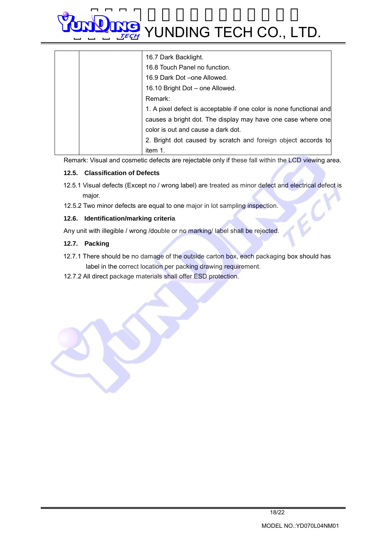| 16.7 Dark Backlight.                                                |
|---------------------------------------------------------------------|
| 16.8 Touch Panel no function.                                       |
| 16.9 Dark Dot – one Allowed.                                        |
| 16.10 Bright Dot - one Allowed.                                     |
| Remark:                                                             |
| 1. A pixel defect is acceptable if one color is none functional and |
| causes a bright dot. The display may have one case where one        |
| color is out and cause a dark dot.                                  |
| 2. Bright dot caused by scratch and foreign object accords to       |
| item 1.                                                             |

Remark: Visual and cosmetic defects are rejectable only if these fall within the LCD viewing area.

#### **12.5. Classification of Defects**

- 12.5.1 Visual defects (Except no / wrong label) are treated as minor defect and electrical defect is major.
- 12.5.2 Two minor defects are equal to one major in lot sampling inspection.

#### **12.6. Identification/marking criteria**

Any unit with illegible / wrong /double or no marking/ label shall be rejected.

#### **12.7. Packing**

- 12.7.1 There should be no damage of the outside carton box, each packaging box should has label in the correct location per packing drawing requirement.
- 12.7.2 All direct package materials shall offer ESD protection.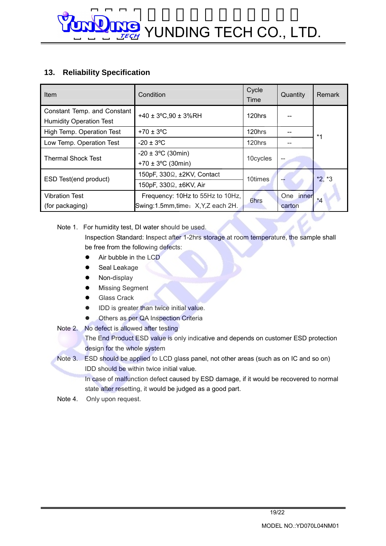### **13. Reliability Specification**

| Item                                                          | Condition                                                            | Cycle<br>Time | Quantity            | Remark   |
|---------------------------------------------------------------|----------------------------------------------------------------------|---------------|---------------------|----------|
| Constant Temp. and Constant<br><b>Humidity Operation Test</b> | +40 ± $3^{\circ}$ C, 90 ± $3^{\circ}$ GRH                            | 120hrs        |                     |          |
| High Temp. Operation Test                                     | $+70 \pm 3$ °C                                                       | 120hrs        |                     | $*1$     |
| Low Temp. Operation Test                                      | $-20 \pm 3$ °C                                                       | 120hrs        |                     |          |
| <b>Thermal Shock Test</b>                                     | $-20 \pm 3$ °C (30min)<br>+70 $\pm$ 3°C (30min)                      | 10cycles      |                     |          |
| ESD Test(end product)                                         | 150pF, 330 $\Omega$ , ±2KV, Contact                                  | 10times       |                     | $*2, *3$ |
|                                                               | 150pF, 330 $\Omega$ , ±6KV, Air                                      |               |                     |          |
| <b>Vibration Test</b><br>(for packaging)                      | Frequency: 10Hz to 55Hz to 10Hz,<br>Swing:1.5mm,time: X,Y,Z each 2H. | 6hrs          | One inner<br>carton | $*_{4}$  |

### Note 1. For humidity test, DI water should be used.

Inspection Standard: Inspect after 1-2hrs storage at room temperature, the sample shall be free from the following defects:

- Air bubble in the LCD
- Seal Leakage
- Non-display
- **Missing Segment**
- **Glass Crack**
- l IDD is greater than twice initial value.
- **•** Others as per QA Inspection Criteria
- Note 2. No defect is allowed after testing

The End Product ESD value is only indicative and depends on customer ESD protection design for the whole system

Note 3. ESD should be applied to LCD glass panel, not other areas (such as on IC and so on) IDD should be within twice initial value.

In case of malfunction defect caused by ESD damage, if it would be recovered to normal state after resetting, it would be judged as a good part.

Note 4. Only upon request.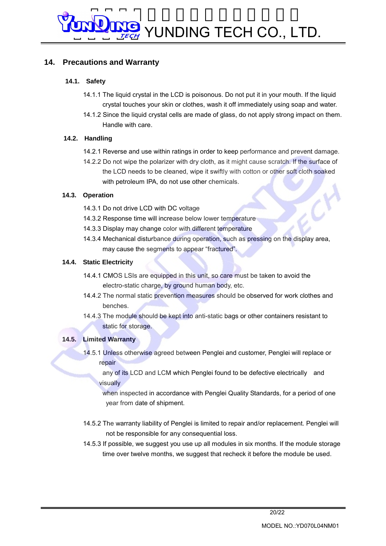### **14. Precautions and Warranty**

### **14.1. Safety**

- 14.1.1 The liquid crystal in the LCD is poisonous. Do not put it in your mouth. If the liquid crystal touches your skin or clothes, wash it off immediately using soap and water.
- 14.1.2 Since the liquid crystal cells are made of glass, do not apply strong impact on them. Handle with care.

### **14.2. Handling**

- 14.2.1 Reverse and use within ratings in order to keep performance and prevent damage.
- 14.2.2 Do not wipe the polarizer with dry cloth, as it might cause scratch. If the surface of the LCD needs to be cleaned, wipe it swiftly with cotton or other soft cloth soaked with petroleum IPA, do not use other chemicals.

### **14.3. Operation**

- 14.3.1 Do not drive LCD with DC voltage
- 14.3.2 Response time will increase below lower temperature
- 14.3.3 Display may change color with different temperature
- 14.3.4 Mechanical disturbance during operation, such as pressing on the display area, may cause the segments to appear "fractured".

### **14.4. Static Electricity**

- 14.4.1 CMOS LSIs are equipped in this unit, so care must be taken to avoid the electro-static charge, by ground human body, etc.
- 14.4.2 The normal static prevention measures should be observed for work clothes and benches.
- 14.4.3 The module should be kept into anti-static bags or other containers resistant to static for storage.

### **14.5. Limited Warranty**

 14.5.1 Unless otherwise agreed between Penglei and customer, Penglei will replace or repair

 any of its LCD and LCM which Penglei found to be defective electrically and visually

when inspected in accordance with Penglei Quality Standards, for a period of one year from date of shipment.

- 14.5.2 The warranty liability of Penglei is limited to repair and/or replacement. Penglei will not be responsible for any consequential loss.
- 14.5.3 If possible, we suggest you use up all modules in six months. If the module storage time over twelve months, we suggest that recheck it before the module be used.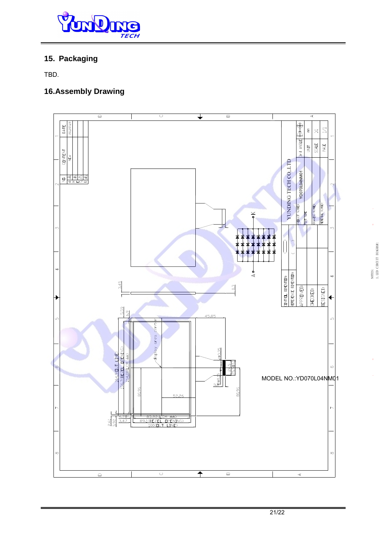

### **15. Packaging**

TBD.

### **16.Assembly Drawing**



 $50$   $\frac{1}{20}$   $\frac{1}{20}$   $\frac{1}{20}$   $\frac{1}{20}$   $\frac{1}{20}$   $\frac{1}{20}$   $\frac{1}{20}$   $\frac{1}{20}$   $\frac{1}{20}$   $\frac{1}{20}$   $\frac{1}{20}$   $\frac{1}{20}$   $\frac{1}{20}$   $\frac{1}{20}$   $\frac{1}{20}$   $\frac{1}{20}$   $\frac{1}{20}$   $\frac{1}{20}$   $\frac{1}{20}$   $\frac{1}{2$ 

1.LED CIRCUIT DIAGRAM:

NOTES:<br>1. LED CIRCUIT DIAGRAM: